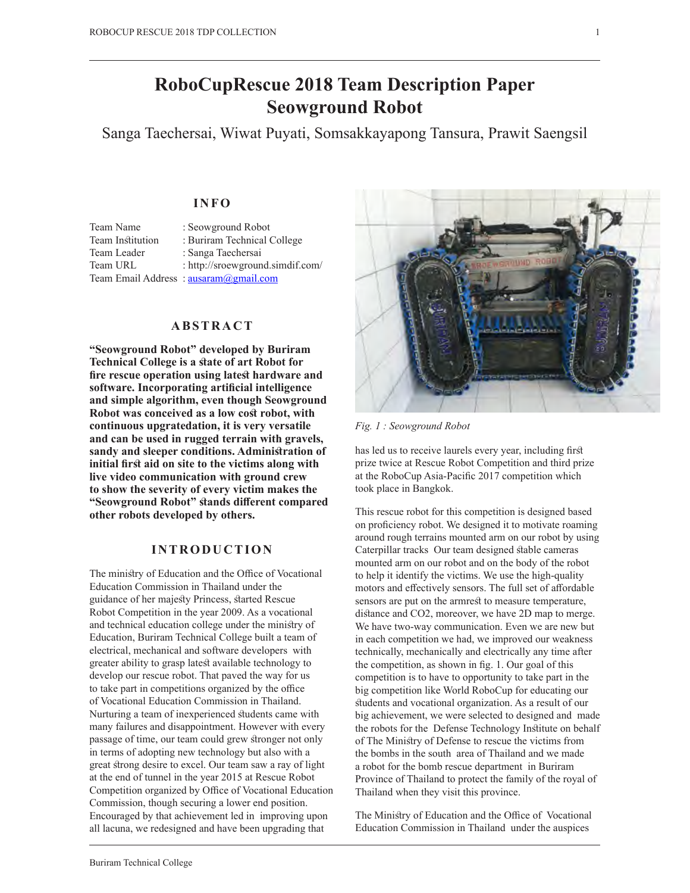# **RoboCupRescue 2018 Team Description Paper Seowground Robot**

Sanga Taechersai, Wiwat Puyati, Somsakkayapong Tansura, Prawit Saengsil

# **INFO**

| Team Name        | : Seowground Robot                    |
|------------------|---------------------------------------|
| Team Institution | : Buriram Technical College           |
| Team Leader      | : Sanga Taechersai                    |
| Team URL         | : http://sroewground.simdif.com/      |
|                  | Team Email Address: ausaram@gmail.com |

# **ABSTRACT**

**"Seowground Robot" developed by Buriram Technical College is a state of art Robot for** fire rescue operation using latest hardware and **software. Incorporating artifcial intelligence and simple algorithm, even though Seowground**  Robot was conceived as a low cost robot, with **continuous upgratedation, it is very versatile and can be used in rugged terrain with gravels, sandy and sleeper conditions. Adminisration of**  initial first aid on site to the victims along with **live video communication with ground crew to show the severity of every victim makes the "Seowground Robot" sands diferent compared other robots developed by others.**

## **INTRODUCTION**

The ministry of Education and the Office of Vocational Education Commission in Thailand under the guidance of her majesty Princess, started Rescue Robot Competition in the year 2009. As a vocational and technical education college under the minisry of Education, Buriram Technical College built a team of electrical, mechanical and software developers with greater ability to grasp latest available technology to develop our rescue robot. That paved the way for us to take part in competitions organized by the office of Vocational Education Commission in Thailand. Nurturing a team of inexperienced sudents came with many failures and disappointment. However with every passage of time, our team could grew stronger not only in terms of adopting new technology but also with a great strong desire to excel. Our team saw a ray of light at the end of tunnel in the year 2015 at Rescue Robot Competition organized by Office of Vocational Education Commission, though securing a lower end position. Encouraged by that achievement led in improving upon all lacuna, we redesigned and have been upgrading that



*Fig. 1 : Seowground Robot*

has led us to receive laurels every year, including first prize twice at Rescue Robot Competition and third prize at the RoboCup Asia-Pacifc 2017 competition which took place in Bangkok.

This rescue robot for this competition is designed based on profciency robot. We designed it to motivate roaming around rough terrains mounted arm on our robot by using Caterpillar tracks Our team designed stable cameras mounted arm on our robot and on the body of the robot to help it identify the victims. We use the high-quality motors and effectively sensors. The full set of affordable sensors are put on the armrest to measure temperature, distance and CO2, moreover, we have 2D map to merge. We have two-way communication. Even we are new but in each competition we had, we improved our weakness technically, mechanically and electrically any time after the competition, as shown in fg. 1. Our goal of this competition is to have to opportunity to take part in the big competition like World RoboCup for educating our students and vocational organization. As a result of our big achievement, we were selected to designed and made the robots for the Defense Technology Insitute on behalf of The Minisry of Defense to rescue the victims from the bombs in the south area of Thailand and we made a robot for the bomb rescue department in Buriram Province of Thailand to protect the family of the royal of Thailand when they visit this province.

The Ministry of Education and the Office of Vocational Education Commission in Thailand under the auspices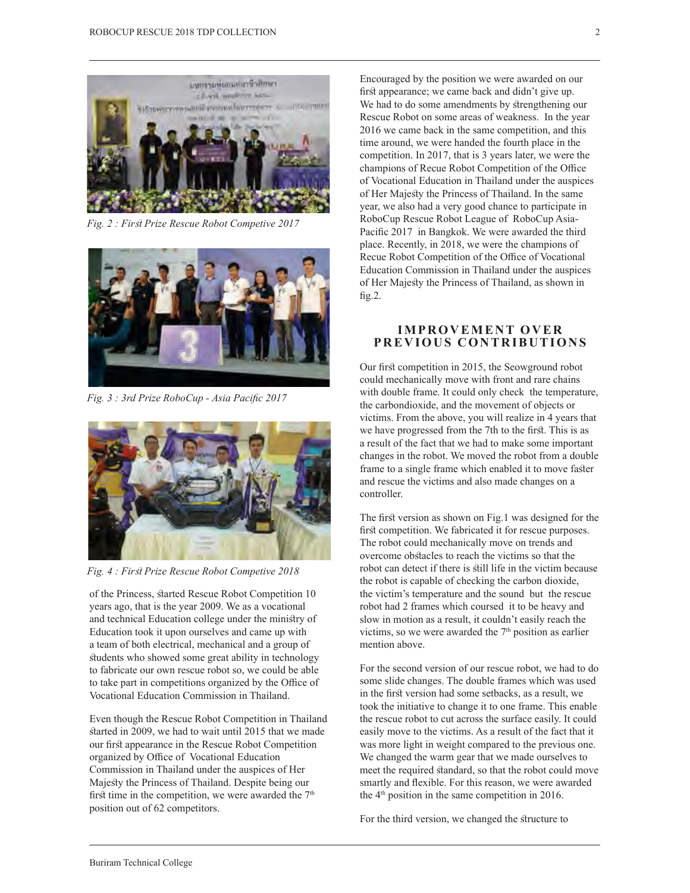

Fig. 2 : First Prize Rescue Robot Competive 2017



*Fig. 3 : 3rd Prize RoboCup - Asia Pacifc 2017*



Fig. 4 : First Prize Rescue Robot Competive 2018

of the Princess, sarted Rescue Robot Competition 10 years ago, that is the year 2009. We as a vocational and technical Education college under the minisry of Education took it upon ourselves and came up with a team of both electrical, mechanical and a group of students who showed some great ability in technology to fabricate our own rescue robot so, we could be able to take part in competitions organized by the Office of Vocational Education Commission in Thailand.

Even though the Rescue Robot Competition in Thailand started in 2009, we had to wait until 2015 that we made our first appearance in the Rescue Robot Competition organized by Office of Vocational Education Commission in Thailand under the auspices of Her Majesty the Princess of Thailand. Despite being our first time in the competition, we were awarded the  $7<sup>th</sup>$ position out of 62 competitors.

Encouraged by the position we were awarded on our first appearance; we came back and didn't give up. We had to do some amendments by strengthening our Rescue Robot on some areas of weakness. In the year 2016 we came back in the same competition, and this time around, we were handed the fourth place in the competition. In 2017, that is 3 years later, we were the champions of Recue Robot Competition of the Office of Vocational Education in Thailand under the auspices of Her Majesty the Princess of Thailand. In the same year, we also had a very good chance to participate in RoboCup Rescue Robot League of RoboCup Asia-Pacifc 2017 in Bangkok. We were awarded the third place. Recently, in 2018, we were the champions of Recue Robot Competition of the Office of Vocational Education Commission in Thailand under the auspices of Her Majesty the Princess of Thailand, as shown in  $fig.2.$ 

## **IMPROVEMENT OVER PREVIOUS CONTRIBUTIONS**

Our first competition in 2015, the Seowground robot could mechanically move with front and rare chains with double frame. It could only check the temperature, the carbondioxide, and the movement of objects or victims. From the above, you will realize in 4 years that we have progressed from the 7th to the first. This is as a result of the fact that we had to make some important changes in the robot. We moved the robot from a double frame to a single frame which enabled it to move faster and rescue the victims and also made changes on a controller.

The first version as shown on Fig.1 was designed for the first competition. We fabricated it for rescue purposes. The robot could mechanically move on trends and overcome obsacles to reach the victims so that the robot can detect if there is sill life in the victim because the robot is capable of checking the carbon dioxide, the victim's temperature and the sound but the rescue robot had 2 frames which coursed it to be heavy and slow in motion as a result, it couldn't easily reach the victims, so we were awarded the 7<sup>th</sup> position as earlier mention above.

For the second version of our rescue robot, we had to do some slide changes. The double frames which was used in the first version had some setbacks, as a result, we took the initiative to change it to one frame. This enable the rescue robot to cut across the surface easily. It could easily move to the victims. As a result of the fact that it was more light in weight compared to the previous one. We changed the warm gear that we made ourselves to meet the required standard, so that the robot could move smartly and fexible. For this reason, we were awarded the 4<sup>th</sup> position in the same competition in 2016.

For the third version, we changed the structure to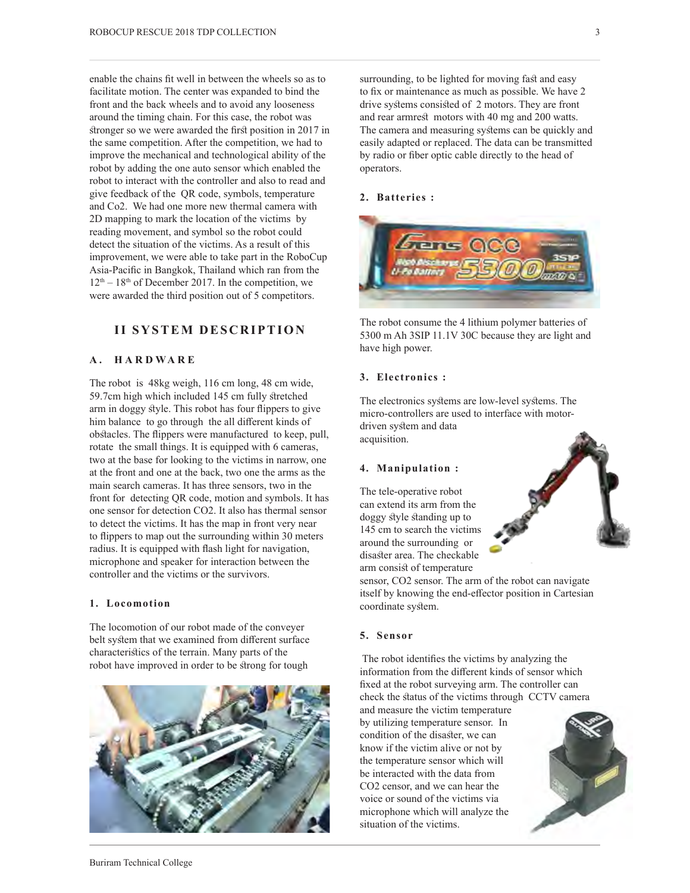enable the chains ft well in between the wheels so as to facilitate motion. The center was expanded to bind the front and the back wheels and to avoid any looseness around the timing chain. For this case, the robot was stronger so we were awarded the first position in 2017 in the same competition. After the competition, we had to improve the mechanical and technological ability of the robot by adding the one auto sensor which enabled the robot to interact with the controller and also to read and give feedback of the QR code, symbols, temperature and Co2. We had one more new thermal camera with 2D mapping to mark the location of the victims by reading movement, and symbol so the robot could detect the situation of the victims. As a result of this improvement, we were able to take part in the RoboCup Asia-Pacifc in Bangkok, Thailand which ran from the  $12<sup>th</sup> - 18<sup>th</sup>$  of December 2017. In the competition, we were awarded the third position out of 5 competitors.

# **II SYSTEM DESCRIPTION**

## **A . HARDWARE**

The robot is 48kg weigh, 116 cm long, 48 cm wide, 59.7cm high which included 145 cm fully sretched arm in doggy style. This robot has four flippers to give him balance to go through the all diferent kinds of obstacles. The flippers were manufactured to keep, pull, rotate the small things. It is equipped with 6 cameras, two at the base for looking to the victims in narrow, one at the front and one at the back, two one the arms as the main search cameras. It has three sensors, two in the front for detecting QR code, motion and symbols. It has one sensor for detection CO2. It also has thermal sensor to detect the victims. It has the map in front very near to fippers to map out the surrounding within 30 meters radius. It is equipped with fash light for navigation, microphone and speaker for interaction between the controller and the victims or the survivors.

#### **1. Locomotion**

The locomotion of our robot made of the conveyer belt system that we examined from different surface characterisics of the terrain. Many parts of the robot have improved in order to be strong for tough



#### **2. Batteries :**



The robot consume the 4 lithium polymer batteries of 5300 m Ah 3SIP 11.1V 30C because they are light and have high power.

#### **3. Electronics :**

The electronics systems are low-level systems. The micro-controllers are used to interface with motordriven system and data acquisition.

#### **4. Manipulation :**

The tele-operative robot can extend its arm from the doggy style standing up to 145 cm to search the victims around the surrounding or disaster area. The checkable arm consist of temperature



sensor, CO2 sensor. The arm of the robot can navigate itself by knowing the end-efector position in Cartesian coordinate system.

#### **5. Sensor**

 The robot identifes the victims by analyzing the information from the diferent kinds of sensor which fxed at the robot surveying arm. The controller can check the status of the victims through CCTV camera

and measure the victim temperature by utilizing temperature sensor. In condition of the disaster, we can know if the victim alive or not by the temperature sensor which will be interacted with the data from CO2 censor, and we can hear the voice or sound of the victims via microphone which will analyze the situation of the victims.

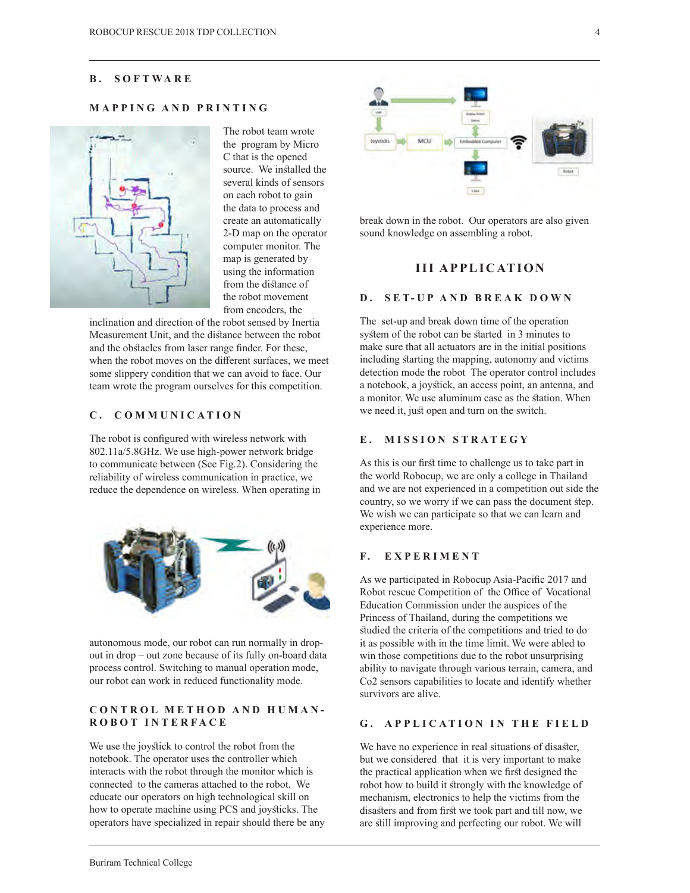#### **B . SOFTWARE**

# **MAPPING AND PRINTING**



The robot team wrote the program by Micro C that is the opened source. We installed the several kinds of sensors on each robot to gain the data to process and create an automatically 2-D map on the operator computer monitor. The map is generated by using the information from the distance of the robot movement from encoders, the

inclination and direction of the robot sensed by Inertia Measurement Unit, and the distance between the robot and the obstacles from laser range finder. For these, when the robot moves on the diferent surfaces, we meet some slippery condition that we can avoid to face. Our team wrote the program ourselves for this competition.

## **C . COMMUNICATION**

The robot is confgured with wireless network with 802.11a/5.8GHz. We use high-power network bridge to communicate between (See Fig.2). Considering the reliability of wireless communication in practice, we reduce the dependence on wireless. When operating in



autonomous mode, our robot can run normally in dropout in drop – out zone because of its fully on-board data process control. Switching to manual operation mode, our robot can work in reduced functionality mode.

## **CONTROL METHOD AND HUMAN-ROBOT INTERFACE**

We use the joystick to control the robot from the notebook. The operator uses the controller which interacts with the robot through the monitor which is connected to the cameras attached to the robot. We educate our operators on high technological skill on how to operate machine using PCS and joysicks. The operators have specialized in repair should there be any



break down in the robot. Our operators are also given sound knowledge on assembling a robot.

# **III APPLICATION**

#### **D . SET-UP AND BREAK DOWN**

The set-up and break down time of the operation system of the robot can be started in 3 minutes to make sure that all actuators are in the initial positions including starting the mapping, autonomy and victims detection mode the robot The operator control includes a notebook, a joysick, an access point, an antenna, and a monitor. We use aluminum case as the station. When we need it, just open and turn on the switch.

## **E . MISSION STRATEGY**

As this is our first time to challenge us to take part in the world Robocup, we are only a college in Thailand and we are not experienced in a competition out side the country, so we worry if we can pass the document step. We wish we can participate so that we can learn and experience more.

#### **F . EXPERIMENT**

As we participated in Robocup Asia-Pacifc 2017 and Robot rescue Competition of the Office of Vocational Education Commission under the auspices of the Princess of Thailand, during the competitions we studied the criteria of the competitions and tried to do it as possible with in the time limit. We were abled to win those competitions due to the robot unsurprising ability to navigate through various terrain, camera, and Co2 sensors capabilities to locate and identify whether survivors are alive.

#### **G . APPLICATION IN THE FIELD**

We have no experience in real situations of disaster, but we considered that it is very important to make the practical application when we first designed the robot how to build it srongly with the knowledge of mechanism, electronics to help the victims from the disasters and from first we took part and till now, we are sill improving and perfecting our robot. We will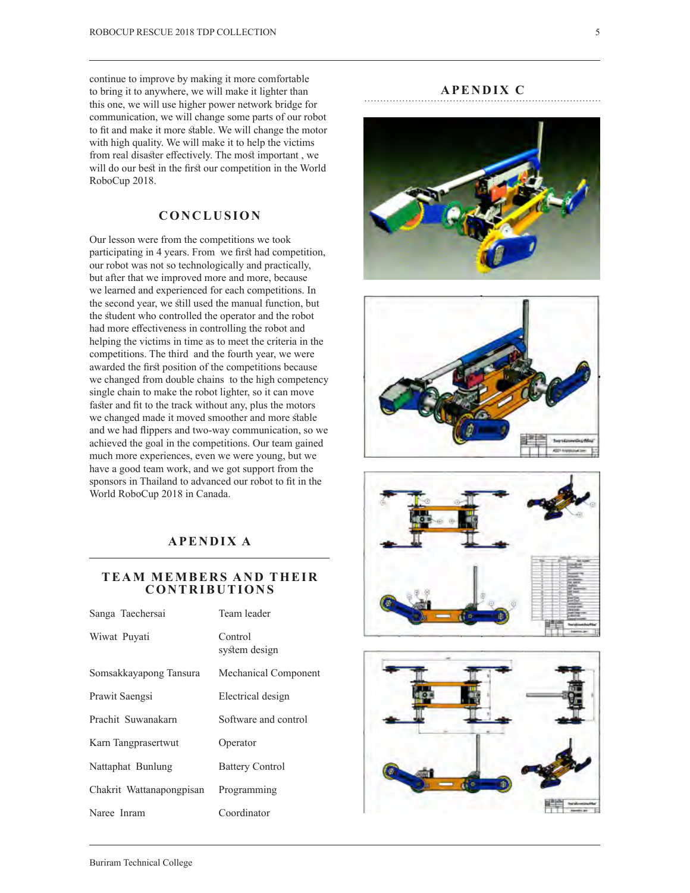continue to improve by making it more comfortable to bring it to anywhere, we will make it lighter than this one, we will use higher power network bridge for communication, we will change some parts of our robot to fit and make it more stable. We will change the motor with high quality. We will make it to help the victims from real disaster effectively. The most important, we will do our best in the first our competition in the World RoboCup 2018.

# **CONCLUSION**

Our lesson were from the competitions we took participating in 4 years. From we first had competition, our robot was not so technologically and practically, but after that we improved more and more, because we learned and experienced for each competitions. In the second year, we sill used the manual function, but the student who controlled the operator and the robot had more effectiveness in controlling the robot and helping the victims in time as to meet the criteria in the competitions. The third and the fourth year, we were awarded the first position of the competitions because we changed from double chains to the high competency single chain to make the robot lighter, so it can move faster and fit to the track without any, plus the motors we changed made it moved smoother and more stable and we had fippers and two-way communication, so we achieved the goal in the competitions. Our team gained much more experiences, even we were young, but we have a good team work, and we got support from the sponsors in Thailand to advanced our robot to ft in the World RoboCup 2018 in Canada.

# **APENDIX A**

# **TEAM MEMBERS AND THEIR CONTRIBUTIONS**

| Sanga Taechersai         | Team leader              |
|--------------------------|--------------------------|
| Wiwat Puyati             | Control<br>system design |
| Somsakkayapong Tansura   | Mechanical Component     |
| Prawit Saengsi           | Electrical design        |
| Prachit Suwanakarn       | Software and control     |
| Karn Tangprasertwut      | Operator                 |
| Nattaphat Bunlung        | <b>Battery Control</b>   |
| Chakrit Wattanapongpisan | Programming              |
| Naree Inram              | Coordinator              |

## **APENDIX C**







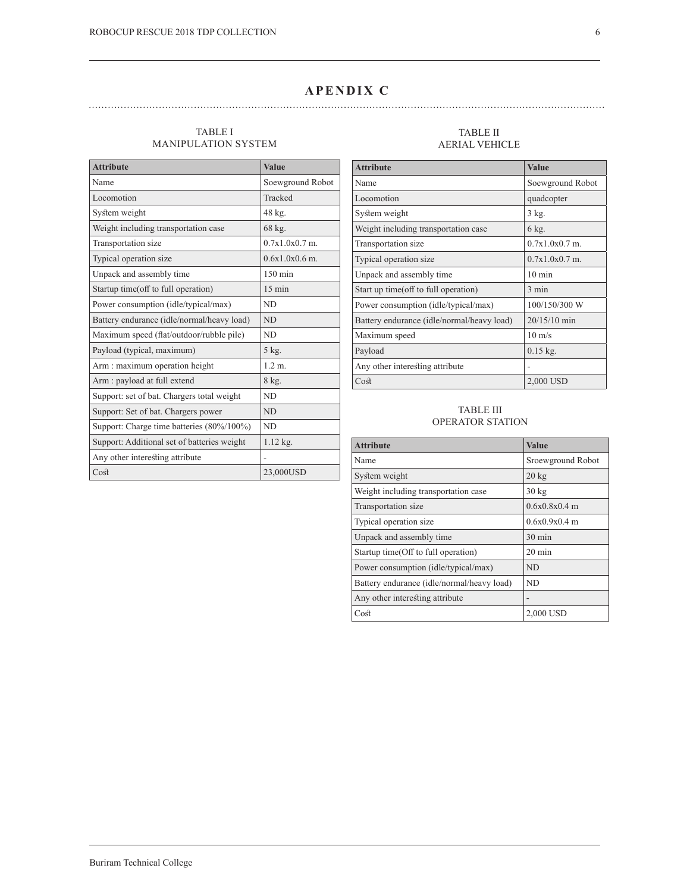# **APENDIX C**

## TABLE I MANIPULATION SYSTEM

| <b>Attribute</b>                            | <b>Value</b>      |
|---------------------------------------------|-------------------|
| Name                                        | Soewground Robot  |
| Locomotion                                  | Tracked           |
| System weight                               | 48 kg.            |
| Weight including transportation case        | 68 kg.            |
| Transportation size                         | $0.7x1.0x0.7$ m.  |
| Typical operation size                      | $0.6x1.0x0.6$ m.  |
| Unpack and assembly time                    | $150 \text{ min}$ |
| Startup time(off to full operation)         | $15 \text{ min}$  |
| Power consumption (idle/typical/max)        | <b>ND</b>         |
| Battery endurance (idle/normal/heavy load)  | <b>ND</b>         |
| Maximum speed (flat/outdoor/rubble pile)    | ND.               |
| Payload (typical, maximum)                  | 5 kg.             |
| Arm: maximum operation height               | 1.2 m.            |
| Arm : payload at full extend                | 8 kg.             |
| Support: set of bat. Chargers total weight  | <b>ND</b>         |
| Support: Set of bat. Chargers power         | <b>ND</b>         |
| Support: Charge time batteries (80%/100%)   | <b>ND</b>         |
| Support: Additional set of batteries weight | $1.12$ kg.        |
| Any other interesting attribute             |                   |
| $\mathrm{C}\mathrm{o}\mathrm{st}$           | 23,000USD         |

#### TABLE II AERIAL VEHICLE

| <b>Attribute</b>                           | <b>Value</b>     |
|--------------------------------------------|------------------|
| Name                                       | Soewground Robot |
| Locomotion                                 | quadcopter       |
| System weight                              | 3 kg.            |
| Weight including transportation case       | 6 kg.            |
| Transportation size                        | $0.7x1.0x0.7$ m. |
| Typical operation size                     | $0.7x1.0x0.7$ m. |
| Unpack and assembly time                   | $10 \text{ min}$ |
| Start up time (off to full operation)      | $3 \text{ min}$  |
| Power consumption (idle/typical/max)       | 100/150/300 W    |
| Battery endurance (idle/normal/heavy load) | 20/15/10 min     |
| Maximum speed                              | $10 \text{ m/s}$ |
| Payload                                    | $0.15$ kg.       |
| Any other interesting attribute            |                  |
| Cost                                       | 2,000 USD        |

## TABLE III OPERATOR STATION

| <b>Attribute</b>                           | Value             |
|--------------------------------------------|-------------------|
| Name                                       | Sroewground Robot |
| System weight                              | $20 \text{ kg}$   |
| Weight including transportation case       | $30 \text{ kg}$   |
| Transportation size                        | $0.6x0.8x0.4$ m   |
| Typical operation size                     | $0.6x0.9x0.4$ m   |
| Unpack and assembly time                   | $30 \text{ min}$  |
| Startup time(Off to full operation)        | $20 \text{ min}$  |
| Power consumption (idle/typical/max)       | ND.               |
| Battery endurance (idle/normal/heavy load) | ND                |
| Any other interesting attribute            |                   |
| Cost                                       | 2,000 USD         |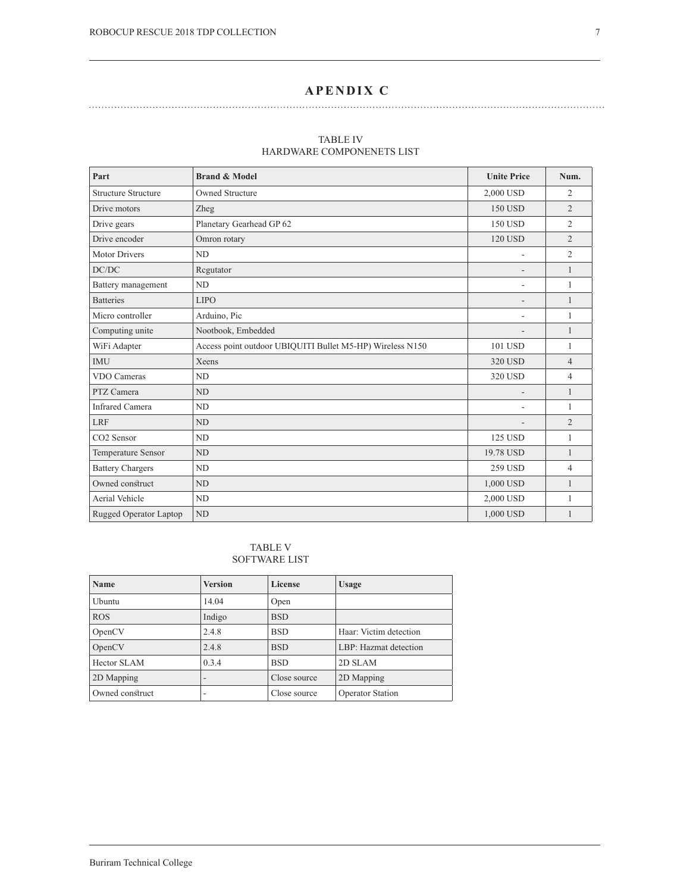# **APENDIX C**

| Part                       | <b>Brand &amp; Model</b>                                  | <b>Unite Price</b>       | Num.                     |
|----------------------------|-----------------------------------------------------------|--------------------------|--------------------------|
| <b>Structure Structure</b> | Owned Structure                                           | 2,000 USD                | $\overline{2}$           |
| Drive motors               | Zheg                                                      | 150 USD                  | $\overline{c}$           |
| Drive gears                | Planetary Gearhead GP 62                                  | 150 USD                  | $\overline{2}$           |
| Drive encoder              | Omron rotary                                              | 120 USD                  | $\overline{2}$           |
| <b>Motor Drivers</b>       | ND                                                        | $\overline{\phantom{a}}$ | $\overline{2}$           |
| DC/DC                      | Regutator                                                 |                          | 1                        |
| Battery management         | ND                                                        | ٠                        | 1                        |
| <b>Batteries</b>           | <b>LIPO</b>                                               | ٠                        |                          |
| Micro controller           | Arduino, Pic                                              | $\overline{\phantom{a}}$ |                          |
| Computing unite            | Nootbook, Embedded                                        |                          | 1                        |
| WiFi Adapter               | Access point outdoor UBIQUITI Bullet M5-HP) Wireless N150 | 101 USD                  | 1                        |
| <b>IMU</b>                 | Xeens                                                     | 320 USD                  | $\overline{4}$           |
| VDO Cameras                | ND                                                        | 320 USD                  | $\overline{\mathcal{A}}$ |
| PTZ Camera                 | ND                                                        |                          | 1                        |
| <b>Infrared Camera</b>     | ND                                                        | ٠                        | 1                        |
| <b>LRF</b>                 | ND                                                        |                          | $\overline{2}$           |
| CO <sub>2</sub> Sensor     | N <sub>D</sub>                                            | 125 USD                  | 1                        |
| Temperature Sensor         | ND                                                        | 19.78 USD                | $\mathbf{1}$             |
| <b>Battery Chargers</b>    | ND                                                        | 259 USD                  | $\overline{4}$           |
| Owned construct            | ND                                                        | 1,000 USD                | 1                        |
| Aerial Vehicle             | ND                                                        | 2,000 USD                | 1                        |
| Rugged Operator Laptop     | ND                                                        | 1.000 USD                | 1                        |

#### TABLE IV HARDWARE COMPONENETS LIST

TABLE V SOFTWARE LIST

| <b>Name</b>     | <b>Version</b>  | License      | <b>Usage</b>            |
|-----------------|-----------------|--------------|-------------------------|
| Ubuntu          | 14.04           | Open         |                         |
| <b>ROS</b>      | Indigo          | <b>BSD</b>   |                         |
| OpenCV          | 2.4.8           | <b>BSD</b>   | Haar: Victim detection  |
| OpenCV          | 2.4.8           | <b>BSD</b>   | LBP: Hazmat detection   |
| Hector SLAM     | 0.3.4           | <b>BSD</b>   | 2D SLAM                 |
| 2D Mapping      | $\qquad \qquad$ | Close source | 2D Mapping              |
| Owned construct | ۰               | Close source | <b>Operator Station</b> |